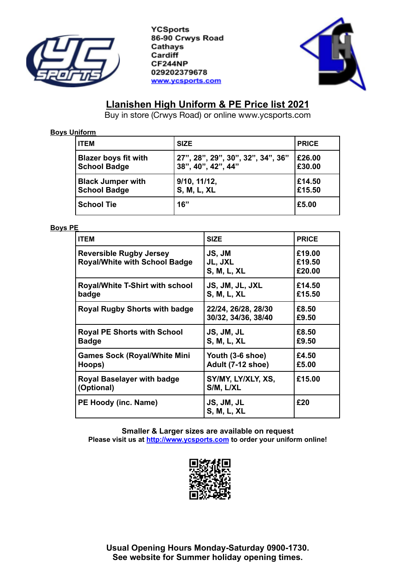

**YCSports** 86-90 Crwys Road Cathays Cardiff CF244NP 029202379678 www.ycsports.com



# **Llanishen High Uniform & PE Price list 2021**

Buy in store (Crwys Road) or online www.ycsports.com

## **Boys Uniform**

| <b>ITEM</b>                 | <b>SIZE</b>                       | <b>PRICE</b> |
|-----------------------------|-----------------------------------|--------------|
| <b>Blazer boys fit with</b> | 27", 28", 29", 30", 32", 34", 36" | £26.00       |
| <b>School Badge</b>         | 38", 40", 42", 44"                | £30.00       |
| <b>Black Jumper with</b>    | 9/10, 11/12,                      | £14.50       |
| <b>School Badge</b>         | <b>S, M, L, XL</b>                | £15.50       |
| <b>School Tie</b>           | 16"                               | £5.00        |

### **Boys PE**

| <b>ITEM</b>                                                            | <b>SIZE</b>                                | <b>PRICE</b>               |
|------------------------------------------------------------------------|--------------------------------------------|----------------------------|
| <b>Reversible Rugby Jersey</b><br><b>Royal/White with School Badge</b> | JS, JM<br>JL, JXL<br><b>S, M, L, XL</b>    | £19.00<br>£19.50<br>£20.00 |
| <b>Royal/White T-Shirt with school</b><br>badge                        | JS, JM, JL, JXL<br><b>S. M. L. XL</b>      | £14.50<br>£15.50           |
| <b>Royal Rugby Shorts with badge</b>                                   | 22/24, 26/28, 28/30<br>30/32, 34/36, 38/40 | £8.50<br>£9.50             |
| <b>Royal PE Shorts with School</b><br><b>Badge</b>                     | JS, JM, JL<br><b>S, M, L, XL</b>           | £8.50<br>£9.50             |
| <b>Games Sock (Royal/White Mini</b><br>Hoops)                          | Youth (3-6 shoe)<br>Adult (7-12 shoe)      | £4.50<br>£5.00             |
| Royal Baselayer with badge<br>(Optional)                               | SY/MY, LY/XLY, XS,<br>S/M, L/XL            | £15.00                     |
| PE Hoody (inc. Name)                                                   | JS, JM, JL<br><b>S, M, L, XL</b>           | £20                        |

**Smaller & Larger sizes are available on request Please visit us at [http://www.ycsp](http://www.ycschoolwear.co.uk/)orts.com to order your uniform online!**